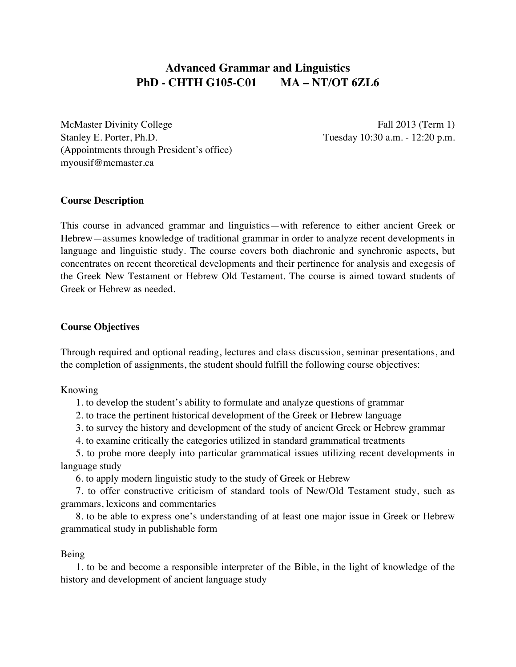# **Advanced Grammar and Linguistics PhD - CHTH G105-C01 MA – NT/OT 6ZL6**

McMaster Divinity College Fall 2013 (Term 1) Stanley E. Porter, Ph.D. Tuesday 10:30 a.m. - 12:20 p.m. (Appointments through President's office) myousif@mcmaster.ca

## **Course Description**

This course in advanced grammar and linguistics—with reference to either ancient Greek or Hebrew—assumes knowledge of traditional grammar in order to analyze recent developments in language and linguistic study. The course covers both diachronic and synchronic aspects, but concentrates on recent theoretical developments and their pertinence for analysis and exegesis of the Greek New Testament or Hebrew Old Testament. The course is aimed toward students of Greek or Hebrew as needed.

## **Course Objectives**

Through required and optional reading, lectures and class discussion, seminar presentations, and the completion of assignments, the student should fulfill the following course objectives:

Knowing

1. to develop the student's ability to formulate and analyze questions of grammar

- 2. to trace the pertinent historical development of the Greek or Hebrew language
- 3. to survey the history and development of the study of ancient Greek or Hebrew grammar
- 4. to examine critically the categories utilized in standard grammatical treatments

5. to probe more deeply into particular grammatical issues utilizing recent developments in language study

6. to apply modern linguistic study to the study of Greek or Hebrew

7. to offer constructive criticism of standard tools of New/Old Testament study, such as grammars, lexicons and commentaries

8. to be able to express one's understanding of at least one major issue in Greek or Hebrew grammatical study in publishable form

## Being

1. to be and become a responsible interpreter of the Bible, in the light of knowledge of the history and development of ancient language study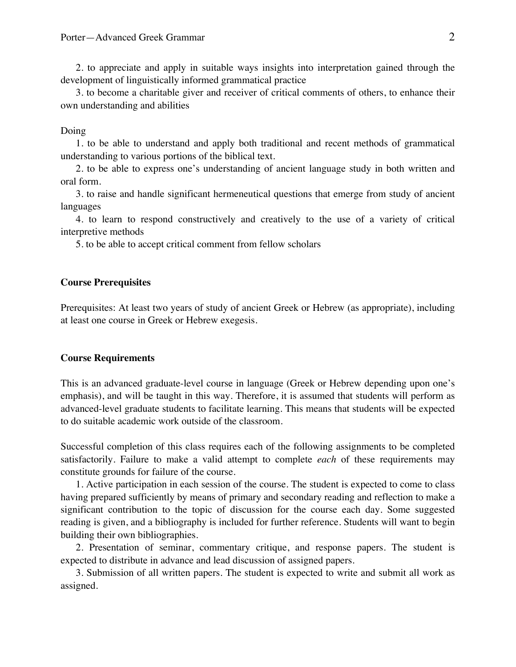2. to appreciate and apply in suitable ways insights into interpretation gained through the development of linguistically informed grammatical practice

3. to become a charitable giver and receiver of critical comments of others, to enhance their own understanding and abilities

#### Doing

1. to be able to understand and apply both traditional and recent methods of grammatical understanding to various portions of the biblical text.

2. to be able to express one's understanding of ancient language study in both written and oral form.

3. to raise and handle significant hermeneutical questions that emerge from study of ancient languages

4. to learn to respond constructively and creatively to the use of a variety of critical interpretive methods

5. to be able to accept critical comment from fellow scholars

#### **Course Prerequisites**

Prerequisites: At least two years of study of ancient Greek or Hebrew (as appropriate), including at least one course in Greek or Hebrew exegesis.

#### **Course Requirements**

This is an advanced graduate-level course in language (Greek or Hebrew depending upon one's emphasis), and will be taught in this way. Therefore, it is assumed that students will perform as advanced-level graduate students to facilitate learning. This means that students will be expected to do suitable academic work outside of the classroom.

Successful completion of this class requires each of the following assignments to be completed satisfactorily. Failure to make a valid attempt to complete *each* of these requirements may constitute grounds for failure of the course.

1. Active participation in each session of the course. The student is expected to come to class having prepared sufficiently by means of primary and secondary reading and reflection to make a significant contribution to the topic of discussion for the course each day. Some suggested reading is given, and a bibliography is included for further reference. Students will want to begin building their own bibliographies.

2. Presentation of seminar, commentary critique, and response papers. The student is expected to distribute in advance and lead discussion of assigned papers.

3. Submission of all written papers. The student is expected to write and submit all work as assigned.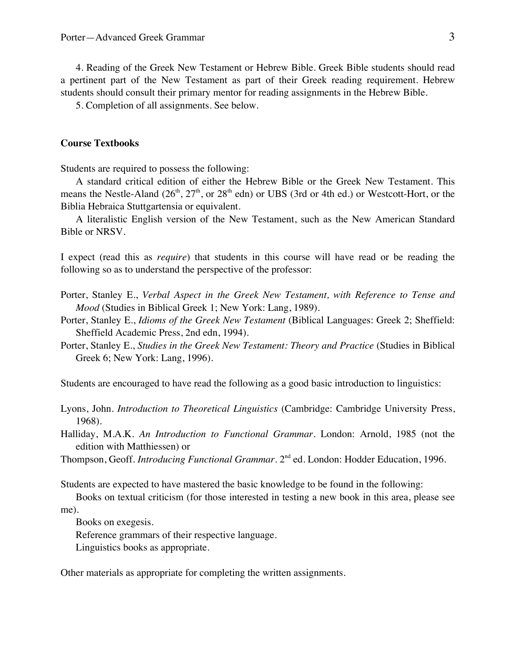4. Reading of the Greek New Testament or Hebrew Bible. Greek Bible students should read a pertinent part of the New Testament as part of their Greek reading requirement. Hebrew students should consult their primary mentor for reading assignments in the Hebrew Bible.

5. Completion of all assignments. See below.

## **Course Textbooks**

Students are required to possess the following:

A standard critical edition of either the Hebrew Bible or the Greek New Testament. This means the Nestle-Aland  $(26<sup>th</sup>, 27<sup>th</sup>, or 28<sup>th</sup> edn)$  or UBS (3rd or 4th ed.) or Westcott-Hort, or the Biblia Hebraica Stuttgartensia or equivalent.

A literalistic English version of the New Testament, such as the New American Standard Bible or NRSV.

I expect (read this as *require*) that students in this course will have read or be reading the following so as to understand the perspective of the professor:

- Porter, Stanley E., *Verbal Aspect in the Greek New Testament, with Reference to Tense and Mood* (Studies in Biblical Greek 1; New York: Lang, 1989).
- Porter, Stanley E., *Idioms of the Greek New Testament* (Biblical Languages: Greek 2; Sheffield: Sheffield Academic Press, 2nd edn, 1994).
- Porter, Stanley E., *Studies in the Greek New Testament: Theory and Practice* (Studies in Biblical Greek 6; New York: Lang, 1996).

Students are encouraged to have read the following as a good basic introduction to linguistics:

Lyons, John. *Introduction to Theoretical Linguistics* (Cambridge: Cambridge University Press, 1968).

Halliday, M.A.K. *An Introduction to Functional Grammar*. London: Arnold, 1985 (not the edition with Matthiessen) or

Thompson, Geoff. *Introducing Functional Grammar*. 2nd ed. London: Hodder Education, 1996.

Students are expected to have mastered the basic knowledge to be found in the following:

Books on textual criticism (for those interested in testing a new book in this area, please see me).

Books on exegesis.

Reference grammars of their respective language.

Linguistics books as appropriate.

Other materials as appropriate for completing the written assignments.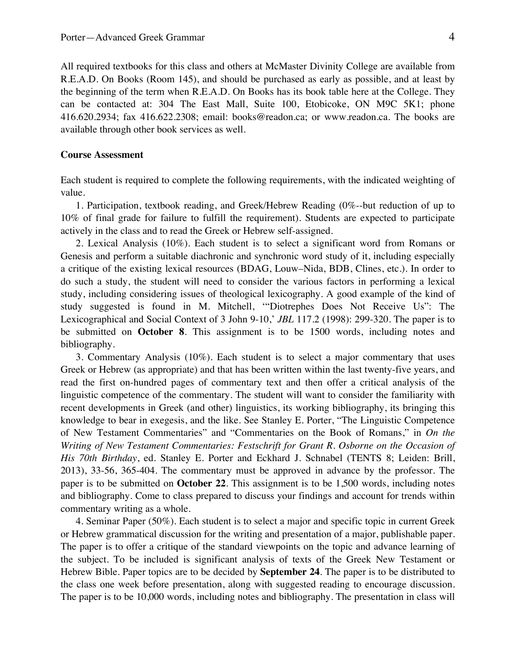All required textbooks for this class and others at McMaster Divinity College are available from R.E.A.D. On Books (Room 145), and should be purchased as early as possible, and at least by the beginning of the term when R.E.A.D. On Books has its book table here at the College. They can be contacted at: 304 The East Mall, Suite 100, Etobicoke, ON M9C 5K1; phone 416.620.2934; fax 416.622.2308; email: books@readon.ca; or www.readon.ca. The books are available through other book services as well.

#### **Course Assessment**

Each student is required to complete the following requirements, with the indicated weighting of value.

1. Participation, textbook reading, and Greek/Hebrew Reading (0%--but reduction of up to 10% of final grade for failure to fulfill the requirement). Students are expected to participate actively in the class and to read the Greek or Hebrew self-assigned.

2. Lexical Analysis (10%). Each student is to select a significant word from Romans or Genesis and perform a suitable diachronic and synchronic word study of it, including especially a critique of the existing lexical resources (BDAG, Louw–Nida, BDB, Clines, etc.). In order to do such a study, the student will need to consider the various factors in performing a lexical study, including considering issues of theological lexicography. A good example of the kind of study suggested is found in M. Mitchell, '"Diotrephes Does Not Receive Us": The Lexicographical and Social Context of 3 John 9-10,' *JBL* 117.2 (1998): 299-320. The paper is to be submitted on **October 8**. This assignment is to be 1500 words, including notes and bibliography.

3. Commentary Analysis (10%). Each student is to select a major commentary that uses Greek or Hebrew (as appropriate) and that has been written within the last twenty-five years, and read the first on-hundred pages of commentary text and then offer a critical analysis of the linguistic competence of the commentary. The student will want to consider the familiarity with recent developments in Greek (and other) linguistics, its working bibliography, its bringing this knowledge to bear in exegesis, and the like. See Stanley E. Porter, "The Linguistic Competence of New Testament Commentaries" and "Commentaries on the Book of Romans," in *On the Writing of New Testament Commentaries: Festschrift for Grant R. Osborne on the Occasion of His 70th Birthday*, ed. Stanley E. Porter and Eckhard J. Schnabel (TENTS 8; Leiden: Brill, 2013), 33-56, 365-404. The commentary must be approved in advance by the professor. The paper is to be submitted on **October 22**. This assignment is to be 1,500 words, including notes and bibliography. Come to class prepared to discuss your findings and account for trends within commentary writing as a whole.

4. Seminar Paper (50%). Each student is to select a major and specific topic in current Greek or Hebrew grammatical discussion for the writing and presentation of a major, publishable paper. The paper is to offer a critique of the standard viewpoints on the topic and advance learning of the subject. To be included is significant analysis of texts of the Greek New Testament or Hebrew Bible. Paper topics are to be decided by **September 24**. The paper is to be distributed to the class one week before presentation, along with suggested reading to encourage discussion. The paper is to be 10,000 words, including notes and bibliography. The presentation in class will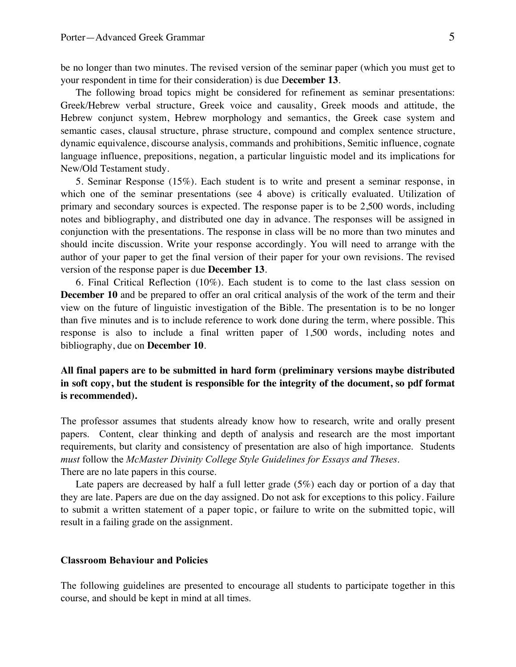be no longer than two minutes. The revised version of the seminar paper (which you must get to your respondent in time for their consideration) is due D**ecember 13**.

The following broad topics might be considered for refinement as seminar presentations: Greek/Hebrew verbal structure, Greek voice and causality, Greek moods and attitude, the Hebrew conjunct system, Hebrew morphology and semantics, the Greek case system and semantic cases, clausal structure, phrase structure, compound and complex sentence structure, dynamic equivalence, discourse analysis, commands and prohibitions, Semitic influence, cognate language influence, prepositions, negation, a particular linguistic model and its implications for New/Old Testament study.

5. Seminar Response (15%). Each student is to write and present a seminar response, in which one of the seminar presentations (see 4 above) is critically evaluated. Utilization of primary and secondary sources is expected. The response paper is to be 2,500 words, including notes and bibliography, and distributed one day in advance. The responses will be assigned in conjunction with the presentations. The response in class will be no more than two minutes and should incite discussion. Write your response accordingly. You will need to arrange with the author of your paper to get the final version of their paper for your own revisions. The revised version of the response paper is due **December 13**.

6. Final Critical Reflection (10%). Each student is to come to the last class session on **December 10** and be prepared to offer an oral critical analysis of the work of the term and their view on the future of linguistic investigation of the Bible. The presentation is to be no longer than five minutes and is to include reference to work done during the term, where possible. This response is also to include a final written paper of 1,500 words, including notes and bibliography, due on **December 10**.

## **All final papers are to be submitted in hard form (preliminary versions maybe distributed in soft copy, but the student is responsible for the integrity of the document, so pdf format is recommended).**

The professor assumes that students already know how to research, write and orally present papers. Content, clear thinking and depth of analysis and research are the most important requirements, but clarity and consistency of presentation are also of high importance. Students *must* follow the *McMaster Divinity College Style Guidelines for Essays and Theses*. There are no late papers in this course.

Late papers are decreased by half a full letter grade (5%) each day or portion of a day that they are late. Papers are due on the day assigned. Do not ask for exceptions to this policy. Failure to submit a written statement of a paper topic, or failure to write on the submitted topic, will result in a failing grade on the assignment.

### **Classroom Behaviour and Policies**

The following guidelines are presented to encourage all students to participate together in this course, and should be kept in mind at all times.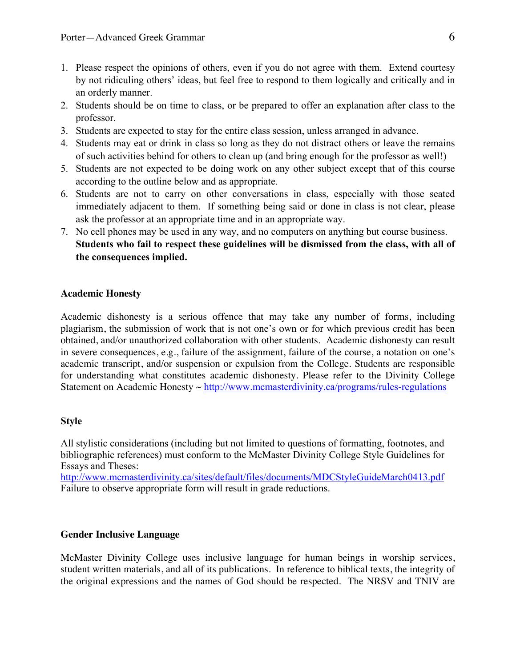- 1. Please respect the opinions of others, even if you do not agree with them. Extend courtesy by not ridiculing others' ideas, but feel free to respond to them logically and critically and in an orderly manner.
- 2. Students should be on time to class, or be prepared to offer an explanation after class to the professor.
- 3. Students are expected to stay for the entire class session, unless arranged in advance.
- 4. Students may eat or drink in class so long as they do not distract others or leave the remains of such activities behind for others to clean up (and bring enough for the professor as well!)
- 5. Students are not expected to be doing work on any other subject except that of this course according to the outline below and as appropriate.
- 6. Students are not to carry on other conversations in class, especially with those seated immediately adjacent to them. If something being said or done in class is not clear, please ask the professor at an appropriate time and in an appropriate way.
- 7. No cell phones may be used in any way, and no computers on anything but course business. **Students who fail to respect these guidelines will be dismissed from the class, with all of the consequences implied.**

## **Academic Honesty**

Academic dishonesty is a serious offence that may take any number of forms, including plagiarism, the submission of work that is not one's own or for which previous credit has been obtained, and/or unauthorized collaboration with other students. Academic dishonesty can result in severe consequences, e.g., failure of the assignment, failure of the course, a notation on one's academic transcript, and/or suspension or expulsion from the College. Students are responsible for understanding what constitutes academic dishonesty. Please refer to the Divinity College Statement on Academic Honesty ~ http://www.mcmasterdivinity.ca/programs/rules-regulations

## **Style**

All stylistic considerations (including but not limited to questions of formatting, footnotes, and bibliographic references) must conform to the McMaster Divinity College Style Guidelines for Essays and Theses:

http://www.mcmasterdivinity.ca/sites/default/files/documents/MDCStyleGuideMarch0413.pdf Failure to observe appropriate form will result in grade reductions.

## **Gender Inclusive Language**

McMaster Divinity College uses inclusive language for human beings in worship services, student written materials, and all of its publications. In reference to biblical texts, the integrity of the original expressions and the names of God should be respected. The NRSV and TNIV are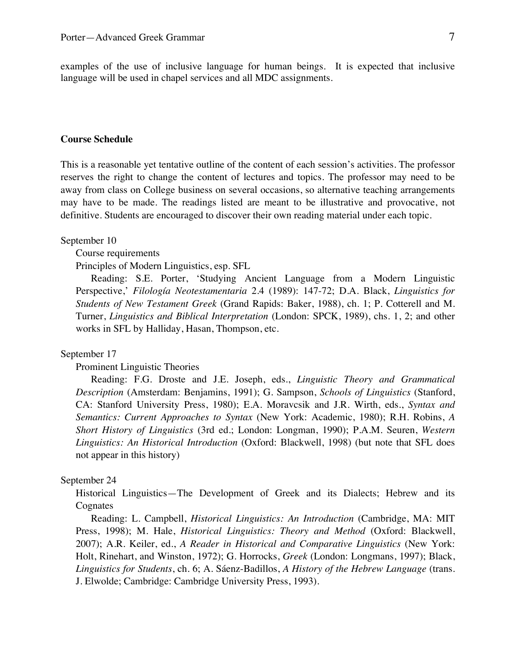examples of the use of inclusive language for human beings. It is expected that inclusive language will be used in chapel services and all MDC assignments.

#### **Course Schedule**

This is a reasonable yet tentative outline of the content of each session's activities. The professor reserves the right to change the content of lectures and topics. The professor may need to be away from class on College business on several occasions, so alternative teaching arrangements may have to be made. The readings listed are meant to be illustrative and provocative, not definitive. Students are encouraged to discover their own reading material under each topic.

### September 10

Course requirements

Principles of Modern Linguistics, esp. SFL

Reading: S.E. Porter, 'Studying Ancient Language from a Modern Linguistic Perspective,' *Filología Neotestamentaria* 2.4 (1989): 147-72; D.A. Black, *Linguistics for Students of New Testament Greek* (Grand Rapids: Baker, 1988), ch. 1; P. Cotterell and M. Turner, *Linguistics and Biblical Interpretation* (London: SPCK, 1989), chs. 1, 2; and other works in SFL by Halliday, Hasan, Thompson, etc.

#### September 17

Prominent Linguistic Theories

Reading: F.G. Droste and J.E. Joseph, eds., *Linguistic Theory and Grammatical Description* (Amsterdam: Benjamins, 1991); G. Sampson, *Schools of Linguistics* (Stanford, CA: Stanford University Press, 1980); E.A. Moravcsik and J.R. Wirth, eds., *Syntax and Semantics: Current Approaches to Syntax* (New York: Academic, 1980); R.H. Robins, *A Short History of Linguistics* (3rd ed.; London: Longman, 1990); P.A.M. Seuren, *Western Linguistics: An Historical Introduction* (Oxford: Blackwell, 1998) (but note that SFL does not appear in this history)

#### September 24

Historical Linguistics—The Development of Greek and its Dialects; Hebrew and its Cognates

Reading: L. Campbell, *Historical Linguistics: An Introduction* (Cambridge, MA: MIT Press, 1998); M. Hale, *Historical Linguistics: Theory and Method* (Oxford: Blackwell, 2007); A.R. Keiler, ed., *A Reader in Historical and Comparative Linguistics* (New York: Holt, Rinehart, and Winston, 1972); G. Horrocks, *Greek* (London: Longmans, 1997); Black, *Linguistics for Students*, ch. 6; A. Sáenz-Badillos, *A History of the Hebrew Language* (trans. J. Elwolde; Cambridge: Cambridge University Press, 1993).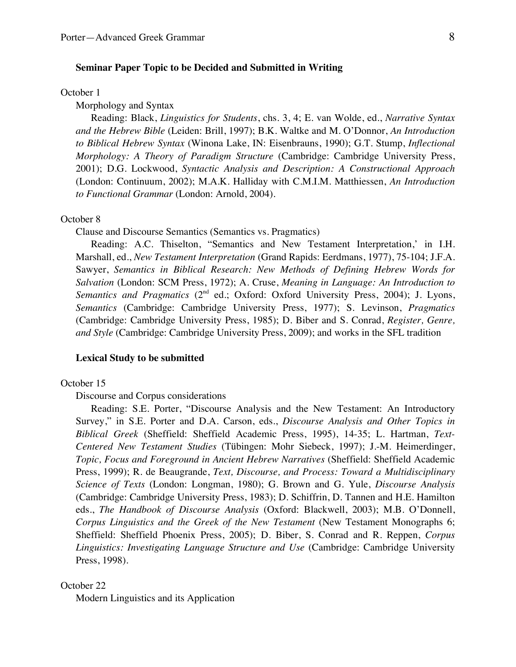## **Seminar Paper Topic to be Decided and Submitted in Writing**

#### October 1

Morphology and Syntax

Reading: Black, *Linguistics for Students*, chs. 3, 4; E. van Wolde, ed., *Narrative Syntax and the Hebrew Bible* (Leiden: Brill, 1997); B.K. Waltke and M. O'Donnor, *An Introduction to Biblical Hebrew Syntax* (Winona Lake, IN: Eisenbrauns, 1990); G.T. Stump, *Inflectional Morphology: A Theory of Paradigm Structure* (Cambridge: Cambridge University Press, 2001); D.G. Lockwood, *Syntactic Analysis and Description: A Constructional Approach* (London: Continuum, 2002); M.A.K. Halliday with C.M.I.M. Matthiessen, *An Introduction to Functional Grammar* (London: Arnold, 2004).

### October 8

Clause and Discourse Semantics (Semantics vs. Pragmatics)

Reading: A.C. Thiselton, "Semantics and New Testament Interpretation,' in I.H. Marshall, ed., *New Testament Interpretation* (Grand Rapids: Eerdmans, 1977), 75-104; J.F.A. Sawyer, *Semantics in Biblical Research: New Methods of Defining Hebrew Words for Salvation* (London: SCM Press, 1972); A. Cruse, *Meaning in Language: An Introduction to Semantics and Pragmatics* (2<sup>nd</sup> ed.; Oxford: Oxford University Press, 2004); J. Lyons, *Semantics* (Cambridge: Cambridge University Press, 1977); S. Levinson, *Pragmatics* (Cambridge: Cambridge University Press, 1985); D. Biber and S. Conrad, *Register, Genre, and Style* (Cambridge: Cambridge University Press, 2009); and works in the SFL tradition

#### **Lexical Study to be submitted**

#### October 15

Discourse and Corpus considerations

Reading: S.E. Porter, "Discourse Analysis and the New Testament: An Introductory Survey," in S.E. Porter and D.A. Carson, eds., *Discourse Analysis and Other Topics in Biblical Greek* (Sheffield: Sheffield Academic Press, 1995), 14-35; L. Hartman, *Text-Centered New Testament Studies* (Tübingen: Mohr Siebeck, 1997); J.-M. Heimerdinger, *Topic, Focus and Foreground in Ancient Hebrew Narratives* (Sheffield: Sheffield Academic Press, 1999); R. de Beaugrande, *Text, Discourse, and Process: Toward a Multidisciplinary Science of Texts* (London: Longman, 1980); G. Brown and G. Yule, *Discourse Analysis* (Cambridge: Cambridge University Press, 1983); D. Schiffrin, D. Tannen and H.E. Hamilton eds., *The Handbook of Discourse Analysis* (Oxford: Blackwell, 2003); M.B. O'Donnell, *Corpus Linguistics and the Greek of the New Testament* (New Testament Monographs 6; Sheffield: Sheffield Phoenix Press, 2005); D. Biber, S. Conrad and R. Reppen, *Corpus Linguistics: Investigating Language Structure and Use* (Cambridge: Cambridge University Press, 1998).

October 22

Modern Linguistics and its Application